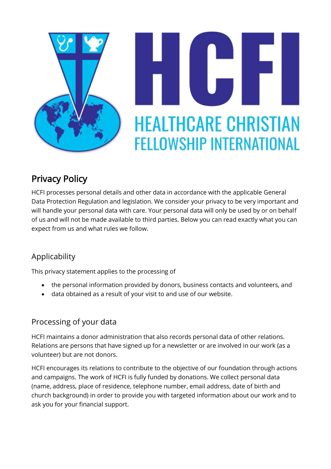

# **HEALTHCARE CHRISTIAN FELLOWSHIP INTERNATIONAL**

# Privacy Policy

HCFI processes personal details and other data in accordance with the applicable General Data Protection Regulation and legislation. We consider your privacy to be very important and will handle your personal data with care. Your personal data will only be used by or on behalf of us and will not be made available to third parties. Below you can read exactly what you can expect from us and what rules we follow.

# Applicability

This privacy statement applies to the processing of

- the personal information provided by donors, business contacts and volunteers, and
- data obtained as a result of your visit to and use of our website.

# Processing of your data

HCFI maintains a donor administration that also records personal data of other relations. Relations are persons that have signed up for a newsletter or are involved in our work (as a volunteer) but are not donors.

HCFI encourages its relations to contribute to the objective of our foundation through actions and campaigns. The work of HCFI is fully funded by donations. We collect personal data (name, address, place of residence, telephone number, email address, date of birth and church background) in order to provide you with targeted information about our work and to ask you for your financial support.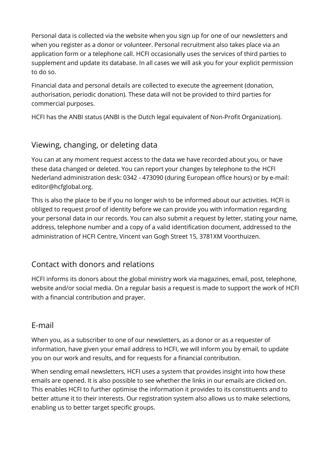Personal data is collected via the website when you sign up for one of our newsletters and when you register as a donor or volunteer. Personal recruitment also takes place via an application form or a telephone call. HCFI occasionally uses the services of third parties to supplement and update its database. In all cases we will ask you for your explicit permission to do so.

Financial data and personal details are collected to execute the agreement (donation, authorisation, periodic donation). These data will not be provided to third parties for commercial purposes.

HCFI has the ANBI status (ANBI is the Dutch legal equivalent of Non-Profit Organization).

# Viewing, changing, or deleting data

You can at any moment request access to the data we have recorded about you, or have these data changed or deleted. You can report your changes by telephone to the HCFI Nederland administration desk: 0342 - 473090 (during European office hours) or by e-mail: editor@hcfglobal.org.

This is also the place to be if you no longer wish to be informed about our activities. HCFI is obliged to request proof of identity before we can provide you with information regarding your personal data in our records. You can also submit a request by letter, stating your name, address, telephone number and a copy of a valid identification document, addressed to the administration of HCFI Centre, Vincent van Gogh Street 15, 3781XM Voorthuizen.

#### Contact with donors and relations

HCFI informs its donors about the global ministry work via magazines, email, post, telephone, website and/or social media. On a regular basis a request is made to support the work of HCFI with a financial contribution and prayer.

#### E-mail

When you, as a subscriber to one of our newsletters, as a donor or as a requester of information, have given your email address to HCFI, we will inform you by email, to update you on our work and results, and for requests for a financial contribution.

When sending email newsletters, HCFI uses a system that provides insight into how these emails are opened. It is also possible to see whether the links in our emails are clicked on. This enables HCFI to further optimise the information it provides to its constituents and to better attune it to their interests. Our registration system also allows us to make selections, enabling us to better target specific groups.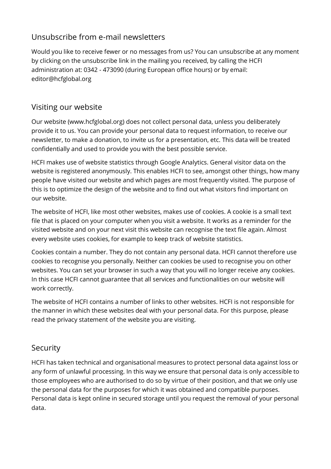# Unsubscribe from e-mail newsletters

Would you like to receive fewer or no messages from us? You can unsubscribe at any moment by clicking on the unsubscribe link in the mailing you received, by calling the HCFI administration at: 0342 - 473090 (during European office hours) or by email: editor@hcfglobal.org

### Visiting our website

Our website (www.hcfglobal.org) does not collect personal data, unless you deliberately provide it to us. You can provide your personal data to request information, to receive our newsletter, to make a donation, to invite us for a presentation, etc. This data will be treated confidentially and used to provide you with the best possible service.

HCFI makes use of website statistics through Google Analytics. General visitor data on the website is registered anonymously. This enables HCFI to see, amongst other things, how many people have visited our website and which pages are most frequently visited. The purpose of this is to optimize the design of the website and to find out what visitors find important on our website.

The website of HCFI, like most other websites, makes use of cookies. A cookie is a small text file that is placed on your computer when you visit a website. It works as a reminder for the visited website and on your next visit this website can recognise the text file again. Almost every website uses cookies, for example to keep track of website statistics.

Cookies contain a number. They do not contain any personal data. HCFI cannot therefore use cookies to recognise you personally. Neither can cookies be used to recognise you on other websites. You can set your browser in such a way that you will no longer receive any cookies. In this case HCFI cannot guarantee that all services and functionalities on our website will work correctly.

The website of HCFI contains a number of links to other websites. HCFI is not responsible for the manner in which these websites deal with your personal data. For this purpose, please read the privacy statement of the website you are visiting.

#### Security

HCFI has taken technical and organisational measures to protect personal data against loss or any form of unlawful processing. In this way we ensure that personal data is only accessible to those employees who are authorised to do so by virtue of their position, and that we only use the personal data for the purposes for which it was obtained and compatible purposes. Personal data is kept online in secured storage until you request the removal of your personal data.